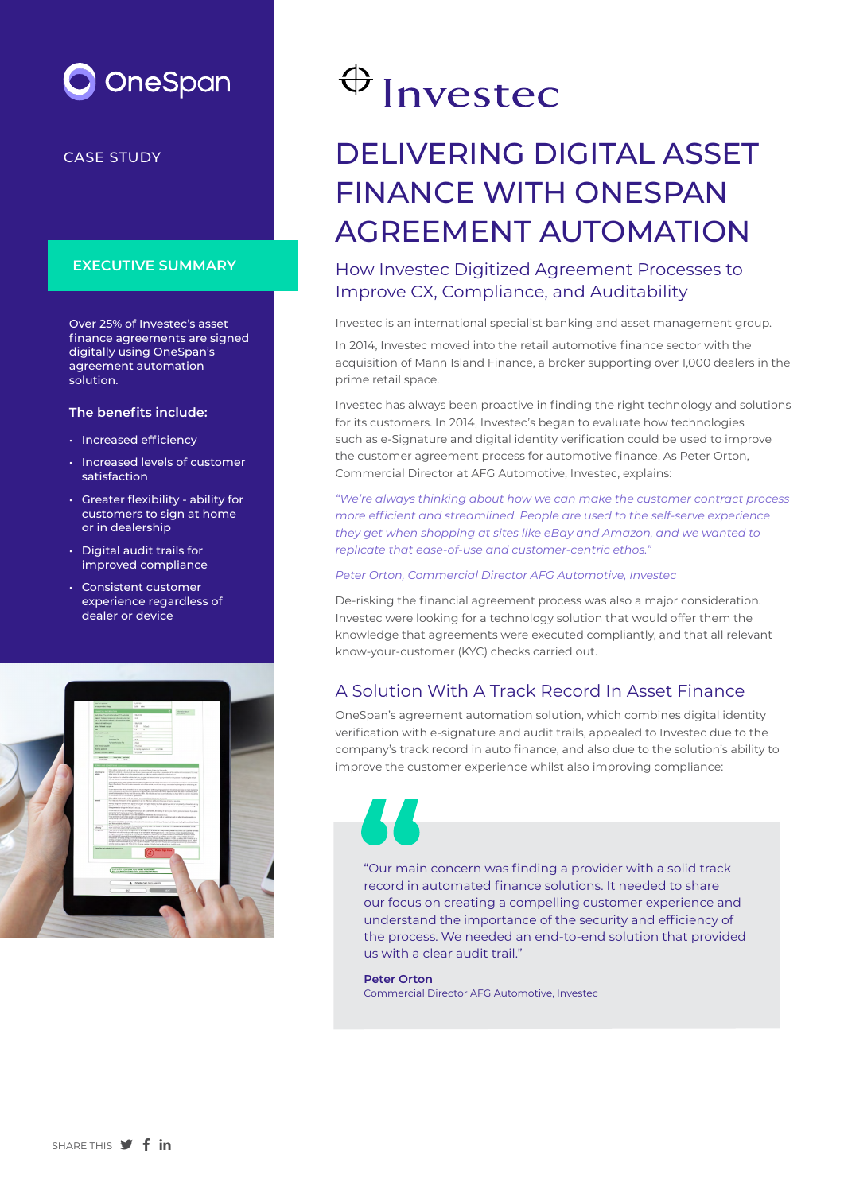

CASE STUDY

#### **EXECUTIVE SUMMARY**

Over 25% of Investec's asset finance agreements are signed digitally using OneSpan's agreement automation solution.

#### **The benefits include:**

- Increased efficiency
- Increased levels of customer satisfaction
- Greater flexibility ability for customers to sign at home or in dealership
- Digital audit trails for improved compliance
- Consistent customer experience regardless of dealer or device



# $\bigoplus$  Investec

## DELIVERING DIGITAL ASSET FINANCE WITH ONESPAN AGREEMENT AUTOMATION

#### How Investec Digitized Agreement Processes to Improve CX, Compliance, and Auditability

Investec is an international specialist banking and asset management group.

In 2014, Investec moved into the retail automotive finance sector with the acquisition of Mann Island Finance, a broker supporting over 1,000 dealers in the prime retail space.

Investec has always been proactive in finding the right technology and solutions for its customers. In 2014, Investec's began to evaluate how technologies such as e-Signature and digital identity verification could be used to improve the customer agreement process for automotive finance. As Peter Orton, Commercial Director at AFG Automotive, Investec, explains:

*"We're always thinking about how we can make the customer contract process more efficient and streamlined. People are used to the self-serve experience they get when shopping at sites like eBay and Amazon, and we wanted to replicate that ease-of-use and customer-centric ethos."*

#### *Peter Orton, Commercial Director AFG Automotive, Investec*

De-risking the financial agreement process was also a major consideration. Investec were looking for a technology solution that would offer them the knowledge that agreements were executed compliantly, and that all relevant know-your-customer (KYC) checks carried out.

#### A Solution With A Track Record In Asset Finance

OneSpan's agreement automation solution, which combines digital identity verification with e-signature and audit trails, appealed to Investec due to the company's track record in auto finance, and also due to the solution's ability to improve the customer experience whilst also improving compliance:



"Our main concern was finding a provider with a solid track record in automated finance solutions. It needed to share our focus on creating a compelling customer experience and understand the importance of the security and efficiency of the process. We needed an end-to-end solution that provided us with a clear audit trail."

#### **Peter Orton**

Commercial Director AFG Automotive, Investec